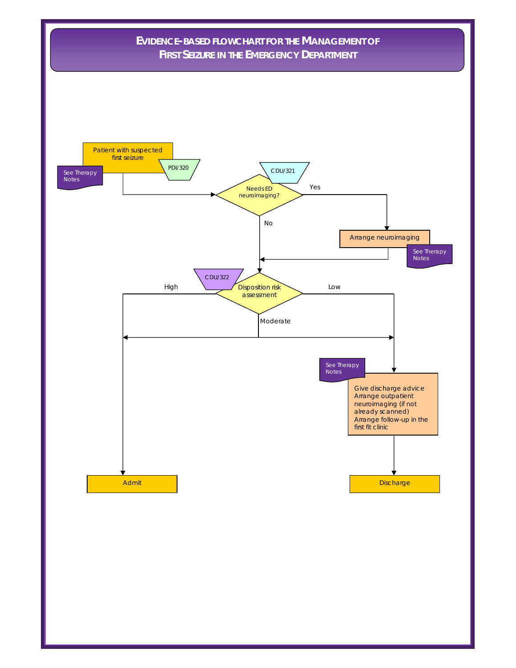